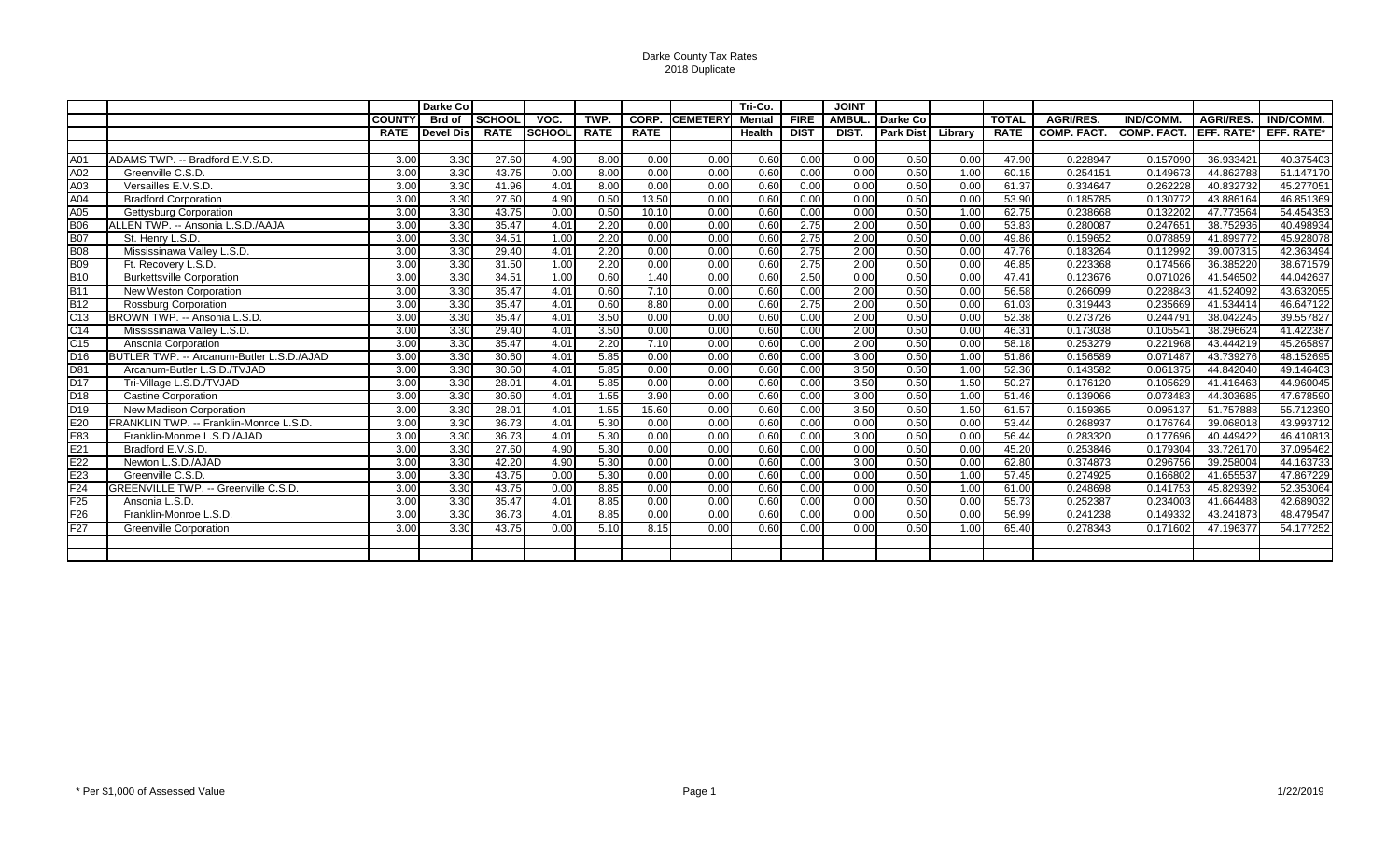Darke County Tax Rates 2018 Duplicate

|                  |                                            |                   | Darke Co      |               |               |             |                    |                 | Tri-Co.       |             | <b>JOINT</b>      |                  |         |              |                   |                    |                  |                   |
|------------------|--------------------------------------------|-------------------|---------------|---------------|---------------|-------------|--------------------|-----------------|---------------|-------------|-------------------|------------------|---------|--------------|-------------------|--------------------|------------------|-------------------|
|                  |                                            | <b>COUNTY</b>     | <b>Brd of</b> | <b>SCHOOL</b> | VOC.          | TWP.        | CORP.              | <b>CEMETERY</b> | <b>Mental</b> | <b>FIRE</b> | <b>AMBUL</b>      | Darke Co         |         | <b>TOTAL</b> | <b>AGRI/RES.</b>  | <b>IND/COMM.</b>   | <b>AGRI/RES.</b> | <b>IND/COMM.</b>  |
|                  |                                            | <b>RATE</b>       | Devel Dis     | <b>RATE</b>   | <b>SCHOOL</b> | <b>RATE</b> | <b>RATE</b>        |                 | <b>Health</b> | <b>DIST</b> | DIST.             | <b>Park Dist</b> | Library | <b>RATE</b>  | <b>COMP. FACT</b> | <b>COMP. FACT.</b> | EFF. RATE*       | <b>EFF. RATE*</b> |
|                  |                                            |                   |               |               |               |             |                    |                 |               |             |                   |                  |         |              |                   |                    |                  |                   |
| A01              | ADAMS TWP. -- Bradford E.V.S.D.            | 3.00              | 3.30          | 27.60         | 4.90          | 8.00        | 0.00               | 0.00            | 0.60          | 0.00        | 0.00              | 0.50             | 0.00    | 47.90        | 0.228947          | 0.157090           | 36.933421        | 40.375403         |
| A02              | Greenville C.S.D.                          | 3.00              | 3.30          | 43.75         | 0.00          | 8.00        | 0.00               | 0.00            | 0.60          | 0.00        | 0.00              | 0.50             | 1.00    | 60.15        | 0.254151          | 0.149673           | 44.862788        | 51.147170         |
| A03              | Versailles E.V.S.D.                        | 3.00              | 3.30          | 41.96         | 4.01          | 8.00        | 0.00               | 0.00            | 0.60          | 0.00        | 0.00              | 0.50             | 0.00    | 61.37        | 0.334647          | 0.262228           | 40.832732        | 45.277051         |
| A04              | <b>Bradford Corporation</b>                | 3.00              | 3.30          | 27.60         | 4.90          | 0.50        | 13.50              | 0.00            | 0.60          | 0.00        | 0.00              | 0.50             | 0.00    | 53.90        | 0.185785          | 0.130772           | 43.886164        | 46.851369         |
| $\overline{A05}$ | <b>Gettysburg Corporation</b>              | 3.00              | 3.30          | 43.75         | 0.00          | 0.50        | 10.10              | 0.00            | 0.60          | 0.00        | 0.00              | 0.50             | 1.00    | 62.75        | 0.238668          | 0.132202           | 47.773564        | 54.454353         |
| <b>B06</b>       | ALLEN TWP. -- Ansonia L.S.D./AAJA          | 3.00              | 3.30          | 35.47         | 4.01          | 2.20        | 0.00               | 0.00            | 0.60          | 2.75        | $\overline{2.00}$ | 0.50             | 0.00    | 53.83        | 0.280087          | 0.247651           | 38.752936        | 40.498934         |
| <b>B07</b>       | St. Henry L.S.D.                           | 3.00              | 3.30          | 34.51         | 1.00          | 2.20        | 0.00               | 0.00            | 0.60          | 2.75        | 2.00              | 0.50             | 0.00    | 49.86        | 0.159652          | 0.078859           | 41.899772        | 45.928078         |
| <b>B08</b>       | Mississinawa Valley L.S.D.                 | 3.00              | 3.30          | 29.40         | 4.01          | 2.20        | 0.00               | 0.00            | 0.60          | 2.75        | 2.00              | 0.50             | 0.00    | 47.76        | 0.183264          | 0.112992           | 39.007315        | 42.363494         |
| <b>B09</b>       | Ft. Recovery L.S.D.                        | 3.00              | 3.30          | 31.50         | 1.00          | 2.20        | $\vert 0.00 \vert$ | 0.00            | 0.60          | 2.75        | 2.00              | 0.50             | 0.00    | 46.85        | 0.223368          | 0.174566           | 36.385220        | 38.671579         |
| $\overline{B10}$ | <b>Burkettsville Corporation</b>           | 3.00              | 3.30          | 34.51         | 1.00          | 0.60        | 1.40               | 0.00            | 0.60          | 2.50        | 0.00              | 0.50             | 0.00    | 47.41        | 0.123676          | 0.071026           | 41.546502        | 44.042637         |
| <b>B11</b>       | New Weston Corporation                     | 3.00              | 3.30          | 35.47         | 4.01          | 0.60        | 7.10               | 0.00            | 0.60          | 0.00        | 2.00              | 0.50             | 0.00    | 56.58        | 0.266099          | 0.228843           | 41.524092        | 43.632055         |
| <b>B12</b>       | <b>Rossburg Corporation</b>                | 3.00              | 3.30          | 35.47         | 4.01          | 0.60        | 8.80               | 0.00            | 0.60          | 2.75        | 2.00              | 0.50             | 0.00    | 61.03        | 0.319443          | 0.235669           | 41.534414        | 46.647122         |
| C13              | BROWN TWP. -- Ansonia L.S.D.               | 3.00              | 3.30          | 35.47         | 4.01          | 3.50        | $\overline{0.00}$  | 0.00            | 0.60          | 0.00        | 2.00              | 0.50             | 0.00    | 52.38        | 0.273726          | 0.244791           | 38.042245        | 39.557827         |
| $\overline{C14}$ | Mississinawa Valley L.S.D.                 | $\overline{3.00}$ | 3.30          | 29.40         | 4.01          | 3.50        | 0.00               | 0.00            | 0.60          | 0.00        | 2.00              | 0.50             | 0.00    | 46.31        | 0.173038          | 0.105541           | 38.296624        | 41.422387         |
| $\overline{C15}$ | Ansonia Corporation                        | 3.00              | 3.30          | 35.47         | 4.01          | 2.20        | 7.10               | 0.00            | 0.60          | 0.00        | 2.00              | 0.50             | 0.00    | 58.18        | 0.253279          | 0.221968           | 43.444219        | 45.265897         |
| D <sub>16</sub>  | BUTLER TWP. -- Arcanum-Butler L.S.D./AJAD  | 3.00              | 3.30          | 30.60         | 4.01          | 5.85        | 0.00               | 0.00            | 0.60          | 0.00        | 3.00              | 0.50             | 1.00    | 51.86        | 0.156589          | 0.071487           | 43.739276        | 48.152695         |
| D81              | Arcanum-Butler L.S.D./TVJAD                | 3.00              | 3.30          | 30.60         | 4.01          | 5.85        | $\vert 0.00 \vert$ | 0.00            | 0.60          | 0.00        | 3.50              | 0.50             | 1.00    | 52.36        | 0.143582          | 0.061375           | 44.842040        | 49.146403         |
| $\overline{D17}$ | Tri-Village L.S.D./TVJAD                   | $\overline{3.00}$ | 3.30          | 28.01         | 4.01          | 5.85        | 0.00               | 0.00            | 0.60          | 0.00        | $\overline{3.50}$ | 0.50             | 1.50    | 50.27        | 0.176120          | 0.105629           | 41.416463        | 44.960045         |
| D18              | <b>Castine Corporation</b>                 | 3.00              | 3.30          | 30.60         | 4.01          | 1.55        | 3.90               | 0.00            | 0.60          | 0.00        | 3.00              | 0.50             | 1.00    | 51.46        | 0.139066          | 0.073483           | 44.303685        | 47.678590         |
| D <sub>19</sub>  | <b>New Madison Corporation</b>             | 3.00              | 3.30          | 28.01         | 4.01          | 1.55        | 15.60              | 0.00            | 0.60          | 0.00        | 3.50              | 0.50             | 1.50    | 61.57        | 0.159365          | 0.095137           | 51.757888        | 55.712390         |
| E20              | FRANKLIN TWP. -- Franklin-Monroe L.S.D.    | 3.00              | 3.30          | 36.73         | 4.01          | 5.30        | 0.00               | 0.00            | 0.60          | 0.00        | 0.00              | 0.50             | 0.00    | 53.44        | 0.268937          | 0.176764           | 39.068018        | 43.993712         |
| E83              | Franklin-Monroe L.S.D./AJAD                | 3.00              | 3.30          | 36.73         | 4.01          | 5.30        | 0.00               | 0.00            | 0.60          | 0.00        | 3.00              | 0.50             | 0.00    | 56.44        | 0.283320          | 0.177696           | 40.449422        | 46.410813         |
| E21              | Bradford E.V.S.D.                          | 3.00              | 3.30          | 27.60         | 4.90          | 5.30        | 0.00               | 0.00            | 0.60          | 0.00        | 0.00              | 0.50             | 0.00    | 45.20        | 0.253846          | 0.179304           | 33.726170        | 37.095462         |
| E22              | Newton L.S.D./AJAD                         | 3.00              | 3.30          | 42.20         | 4.90          | 5.30        | 0.00               | 0.00            | 0.60          | 0.00        | 3.00              | 0.50             | 0.00    | 62.80        | 0.374873          | 0.296756           | 39.258004        | 44.163733         |
| E23              | Greenville C.S.D.                          | $\overline{3.00}$ | 3.30          | 43.75         | 0.00          | 5.30        | 0.00               | 0.00            | 0.60          | 0.00        | 0.00              | 0.50             | 1.00    | 57.45        | 0.274925          | 0.166802           | 41.655537        | 47.867229         |
| $\overline{F24}$ | <b>GREENVILLE TWP. -- Greenville C.S.D</b> | 3.00              | 3.30          | 43.75         | 0.00          | 8.85        | 0.00               | 0.00            | 0.60          | 0.00        | 0.00              | 0.50             | 1.00    | 61.00        | 0.248698          | 0.141753           | 45.829392        | 52.353064         |
| F <sub>25</sub>  | Ansonia L.S.D.                             | 3.00              | 3.30          | 35.47         | 4.01          | 8.85        | 0.00               | 0.00            | 0.60          | 0.00        | 0.00              | 0.50             | 0.00    | 55.73        | 0.252387          | 0.234003           | 41.664488        | 42.689032         |
| F <sub>26</sub>  | Franklin-Monroe L.S.D.                     | 3.00              | 3.30          | 36.73         | 4.01          | 8.85        | 0.00               | 0.00            | 0.60          | 0.00        | 0.00              | 0.50             | 0.00    | 56.99        | 0.241238          | 0.149332           | 43.241873        | 48.479547         |
| F27              | <b>Greenville Corporation</b>              | $\overline{3.00}$ | 3.30          | 43.75         | 0.00          | 5.10        | 8.15               | 0.00            | 0.60          | 0.00        | 0.00              | 0.50             | 1.00    | 65.40        | 0.278343          | 0.171602           | 47.196377        | 54.177252         |
|                  |                                            |                   |               |               |               |             |                    |                 |               |             |                   |                  |         |              |                   |                    |                  |                   |
|                  |                                            |                   |               |               |               |             |                    |                 |               |             |                   |                  |         |              |                   |                    |                  |                   |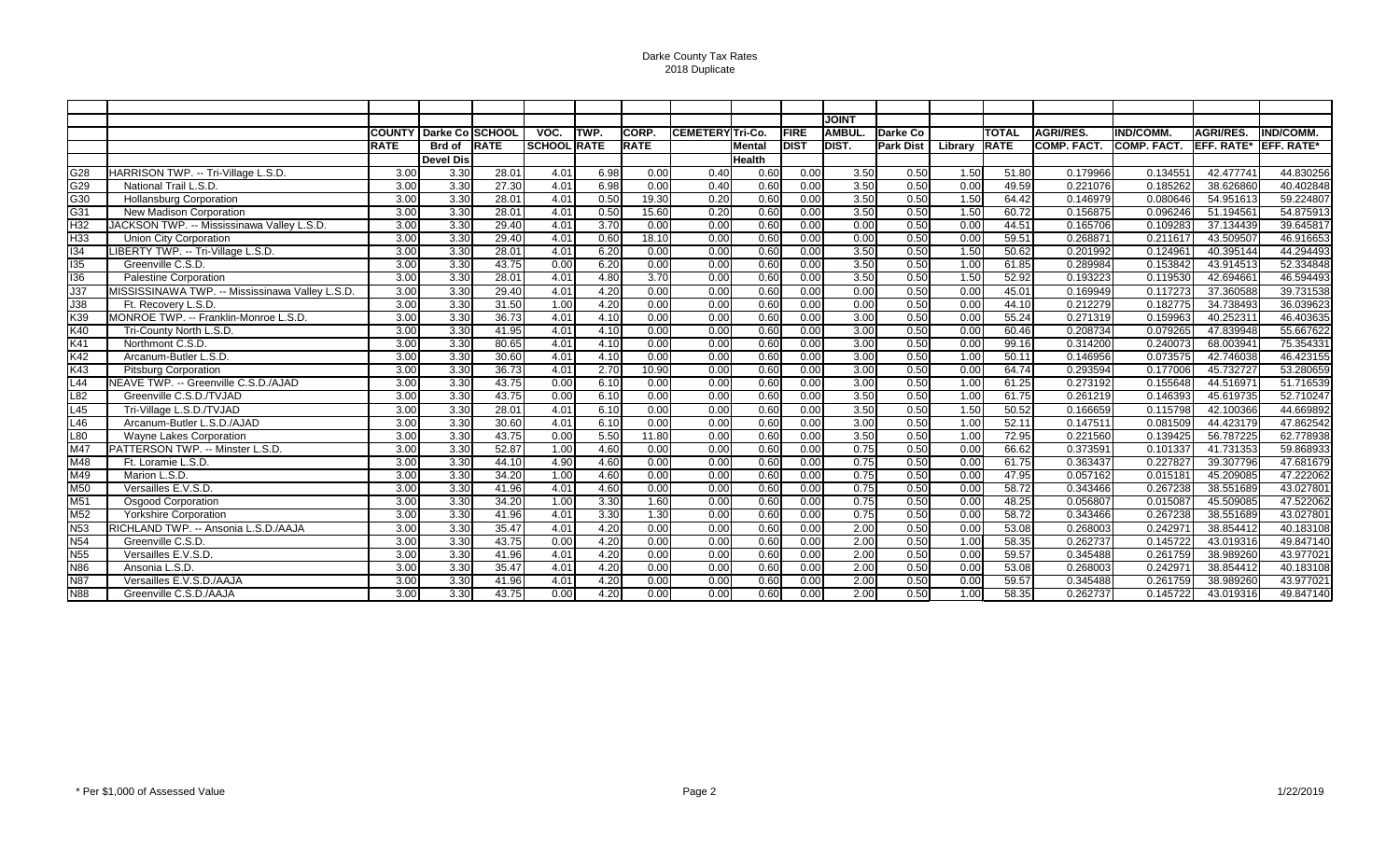Darke County Tax Rates 2018 Duplicate

|                         |                                                 |                   |                  |       |                    |      |             |                  |               |                | <b>JOINT</b> |                  |         |              |                    |                    |                   |                   |
|-------------------------|-------------------------------------------------|-------------------|------------------|-------|--------------------|------|-------------|------------------|---------------|----------------|--------------|------------------|---------|--------------|--------------------|--------------------|-------------------|-------------------|
|                         |                                                 | <b>COUNTY</b>     | Darke Co SCHOOL  |       | VOC.               | TWP. | CORP.       | CEMETERY Tri-Co. |               | <b>FIRE</b>    | <b>AMBUL</b> | Darke Co         |         | <b>TOTAL</b> | <b>AGRI/RES.</b>   | <b>IND/COMM</b>    | <b>AGRI/RES.</b>  | <b>IND/COMM.</b>  |
|                         |                                                 | <b>RATE</b>       | Brd of RATE      |       | <b>SCHOOL RATE</b> |      | <b>RATE</b> |                  | <b>Mental</b> | DIST           | <b>DIST.</b> | <b>Park Dist</b> | Library | <b>RATE</b>  | <b>COMP. FACT.</b> | <b>COMP. FACT.</b> | <b>EFF. RATE*</b> | <b>EFF. RATE*</b> |
|                         |                                                 |                   | <b>Devel Dis</b> |       |                    |      |             |                  | Health        |                |              |                  |         |              |                    |                    |                   |                   |
| G28                     | HARRISON TWP. -- Tri-Village L.S.D.             | 3.00              | 3.30             | 28.01 | 4.01               | 6.98 | 0.00        | 0.40             | 0.60          | 0.00           | 3.50         | 0.50             | 1.50    | 51.80        | 0.179966           | 0.134551           | 42.477741         | 44.830256         |
| G29                     | National Trail L.S.D.                           | 3.00              | 3.30             | 27.30 | 4.01               | 6.98 | 0.00        | 0.40             | 0.60          | 0.00           | 3.50         | 0.50             | 0.00    | 49.59        | 0.221076           | 0.185262           | 38.626860         | 40.402848         |
| G30                     | <b>Hollansburg Corporation</b>                  | 3.00              | 3.30             | 28.01 | 4.01               | 0.50 | 19.30       | 0.20             | 0.60          | 0.00           | 3.50         | 0.50             | 1.50    | 64.42        | 0.146979           | 0.080646           | 54.951613         | 59.224807         |
| $\overline{G}31$        | <b>New Madison Corporation</b>                  | 3.00              | 3.30             | 28.01 | 4.01               | 0.50 | 15.60       | 0.20             | 0.60          | 0.00           | 3.50         | 0.50             | 1.50    | 60.72        | 0.156875           | 0.096246           | 51.194561         | 54.875913         |
| H <sub>32</sub>         | JACKSON TWP. -- Mississinawa Valley L.S.D.      | 3.00              | 3.30             | 29.40 | 4.01               | 3.70 | 0.00        | 0.00             | 0.60          | $\boxed{0.00}$ | 0.00         | 0.50             | 0.00    | 44.51        | 0.165706           | 0.109283           | 37.134439         | 39.645817         |
| H33                     | <b>Union City Corporation</b>                   | 3.00              | 3.30             | 29.40 | 4.01               | 0.60 | 18.10       | 0.00             | 0.60          | 0.00           | 0.00         | 0.50             | 0.00    | 59.51        | 0.268871           | 0.211617           | 43.509507         | 46.916653         |
| 134                     | LIBERTY TWP. -- Tri-Village L.S.D.              | 3.00              | 3.30             | 28.01 | 4.01               | 6.20 | 0.00        | 0.00             | 0.60          | 0.00           | 3.50         | 0.50             | 1.50    | 50.62        | 0.201992           | 0.124961           | 40.395144         | 44.294493         |
| 135                     | Greenville C.S.D.                               | 3.00              | 3.30             | 43.75 | 0.00               | 6.20 | 0.00        | 0.00             | 0.60          | 0.00           | 3.50         | 0.50             | 1.00    | 61.85        | 0.289984           | 0.153842           | 43.914513         | 52.334848         |
| 136                     | <b>Palestine Corporation</b>                    | 3.00              | 3.30             | 28.01 | 4.01               | 4.80 | 3.70        | 0.00             | 0.60          | 0.00           | 3.50         | 0.50             | 1.50    | 52.92        | 0.193223           | 0.119530           | 42.694661         | 46.594493         |
| J37                     | MISSISSINAWA TWP. -- Mississinawa Valley L.S.D. | 3.00              | 3.30             | 29.40 | 4.01               | 4.20 | 0.00        | 0.00             | 0.60          | 0.00           | 0.00         | 0.50             | 0.00    | 45.01        | 0.169949           | 0.117273           | 37.360588         | 39.731538         |
| $\overline{\text{J38}}$ | Ft. Recovery L.S.D.                             | 3.00              | 3.30             | 31.50 | 1.00               | 4.20 | 0.00        | 0.00             | 0.60          | 0.00           | 0.00         | 0.50             | 0.00    | 44.10        | 0.212279           | 0.182775           | 34.738493         | 36.039623         |
| K39                     | MONROE TWP. -- Franklin-Monroe L.S.D.           | 3.00              | 3.30             | 36.73 | 4.01               | 4.10 | 0.00        | 0.00             | 0.60          | 0.00           | 3.00         | 0.50             | 0.00    | 55.24        | 0.271319           | 0.159963           | 40.252311         | 46.403635         |
| K40                     | Tri-County North L.S.D.                         | 3.00              | 3.30             | 41.95 | 4.01               | 4.10 | 0.00        | 0.00             | 0.60          | 0.00           | 3.00         | 0.50             | 0.00    | 60.46        | 0.208734           | 0.079265           | 47.839948         | 55.667622         |
| K41                     | Northmont C.S.D.                                | 3.00              | 3.30             | 80.65 | 4.01               | 4.10 | 0.00        | 0.00             | 0.60          | 0.00           | 3.00         | 0.50             | 0.00    | 99.16        | 0.314200           | 0.240073           | 68.003941         | 75.354331         |
| $\overline{K42}$        | Arcanum-Butler L.S.D.                           | 3.00              | 3.30             | 30.60 | 4.01               | 4.10 | 0.00        | 0.00             | 0.60          | $\boxed{0.00}$ | 3.00         | 0.50             | 1.00    | 50.11        | 0.146956           | 0.073575           | 42.746038         | 46.423155         |
| $\overline{K43}$        | <b>Pitsburg Corporation</b>                     | 3.00              | 3.30             | 36.73 | 4.01               | 2.70 | 10.90       | 0.00             | 0.60          | $\boxed{0.00}$ | 3.00         | 0.50             | 0.00    | 64.74        | 0.293594           | 0.177006           | 45.732727         | 53.280659         |
| $-44$                   | NEAVE TWP. -- Greenville C.S.D./AJAD            | 3.00              | 3.30             | 43.75 | 0.00               | 6.10 | 0.00        | 0.00             | 0.60          | 0.00           | 3.00         | 0.50             | 1.00    | 61.25        | 0.273192           | 0.155648           | 44.516971         | 51.716539         |
| $-82$                   | Greenville C.S.D./TVJAD                         | 3.00              | 3.30             | 43.75 | 0.00               | 6.10 | 0.00        | 0.00             | 0.60          | 0.00           | 3.50         | 0.50             | 1.00    | 61.75        | 0.261219           | 0.146393           | 45.619735         | 52.710247         |
| $-45$                   | Tri-Village L.S.D./TVJAD                        | 3.00              | 3.30             | 28.01 | 4.01               | 6.10 | 0.00        | 0.00             | 0.60          | 0.00           | 3.50         | 0.50             | 1.50    | 50.52        | 0.166659           | 0.115798           | 42.100366         | 44.669892         |
| $-46$                   | Arcanum-Butler L.S.D./AJAD                      | 3.00              | 3.30             | 30.60 | 4.01               | 6.10 | 0.00        | 0.00             | 0.60          | 0.00           | 3.00         | 0.50             | 1.00    | 52.11        | 0.147511           | 0.081509           | 44.423179         | 47.862542         |
| L80                     | <b>Wayne Lakes Corporation</b>                  | 3.00              | 3.30             | 43.75 | 0.00               | 5.50 | 11.80       | 0.00             | 0.60          | 0.00           | 3.50         | 0.50             | 1.00    | 72.95        | 0.221560           | 0.139425           | 56.787225         | 62.778938         |
| M47                     | PATTERSON TWP. -- Minster L.S.D.                | 3.00              | 3.30             | 52.87 | 1.00               | 4.60 | 0.00        | 0.00             | 0.60          | 0.00           | 0.75         | 0.50             | 0.00    | 66.62        | 0.373591           | 0.101337           | 41.731353         | 59.868933         |
| M48                     | Ft. Loramie L.S.D.                              | 3.00              | 3.30             | 44.10 | 4.90               | 4.60 | 0.00        | 0.00             | 0.60          | 0.00           | 0.75         | 0.50             | 0.00    | 61.75        | 0.363437           | 0.227827           | 39.307796         | 47.681679         |
| M49                     | Marion L.S.D.                                   | $\overline{3.00}$ | 3.30             | 34.20 | 1.00               | 4.60 | 0.00        | 0.00             | 0.60          | 0.00           | 0.75         | 0.50             | 0.00    | 47.95        | 0.057162           | 0.015181           | 45.209085         | 47.222062         |
| M50                     | Versailles E.V.S.D.                             | 3.00              | 3.30             | 41.96 | 4.01               | 4.60 | 0.00        | 0.00             | 0.60          | 0.00           | 0.75         | 0.50             | 0.00    | 58.72        | 0.343466           | 0.267238           | 38.551689         | 43.027801         |
| M51                     | <b>Osgood Corporation</b>                       | 3.00              | 3.30             | 34.20 | 1.00               | 3.30 | 1.60        | 0.00             | 0.60          | 0.00           | 0.75         | 0.50             | 0.00    | 48.25        | 0.056807           | 0.015087           | 45.509085         | 47.522062         |
| M52                     | <b>Yorkshire Corporation</b>                    | 3.00              | 3.30             | 41.96 | 4.01               | 3.30 | 1.30        | 0.00             | 0.60          | 0.00           | 0.75         | 0.50             | 0.00    | 58.72        | 0.343466           | 0.267238           | 38.551689         | 43.027801         |
| <b>N53</b>              | RICHLAND TWP. -- Ansonia L.S.D./AAJA            | 3.00              | 3.30             | 35.47 | 4.01               | 4.20 | 0.00        | 0.00             | 0.60          | 0.00           | 2.00         | 0.50             | 0.00    | 53.08        | 0.268003           | 0.242971           | 38.854412         | 40.183108         |
| N <sub>54</sub>         | Greenville C.S.D.                               | 3.00              | 3.30             | 43.75 | 0.00               | 4.20 | 0.00        | 0.00             | 0.60          | 0.00           | 2.00         | 0.50             | 1.00    | 58.35        | 0.262737           | 0.145722           | 43.019316         | 49.847140         |
| N55                     | Versailles E.V.S.D.                             | $\overline{3.00}$ | 3.30             | 41.96 | 4.01               | 4.20 | 0.00        | 0.00             | 0.60          | 0.00           | 2.00         | 0.50             | 0.00    | 59.57        | 0.345488           | 0.261759           | 38.989260         | 43.977021         |
| N86                     | Ansonia L.S.D.                                  | 3.00              | 3.30             | 35.47 | 4.01               | 4.20 | 0.00        | 0.00             | 0.60          | 0.00           | 2.00         | 0.50             | 0.00    | 53.08        | 0.268003           | 0.242971           | 38.854412         | 40.183108         |
| <b>N87</b>              | Versailles E.V.S.D./AAJA                        | 3.00              | 3.30             | 41.96 | 4.01               | 4.20 | 0.00        | 0.00             | 0.60          | 0.00           | 2.00         | 0.50             | 0.00    | 59.57        | 0.345488           | 0.261759           | 38.989260         | 43.977021         |
| N88                     | Greenville C.S.D./AAJA                          | 3.00              | 3.30             | 43.75 | 0.00               | 4.20 | 0.00        | 0.00             | 0.60          | 0.00           | 2.00         | 0.50             | 1.00    | 58.35        | 0.262737           | 0.145722           | 43.019316         | 49.847140         |